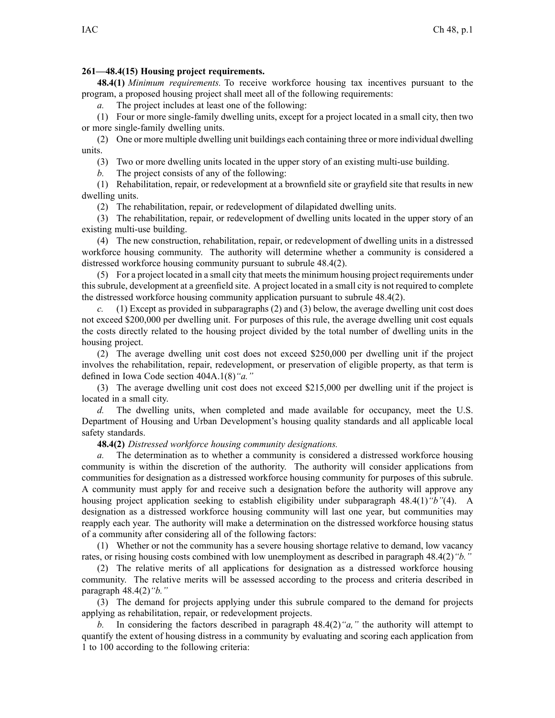## **261—48.4(15) Housing project requirements.**

**48.4(1)** *Minimum requirements.* To receive workforce housing tax incentives pursuan<sup>t</sup> to the program, <sup>a</sup> proposed housing project shall meet all of the following requirements:

*a.* The project includes at least one of the following:

(1) Four or more single-family dwelling units, excep<sup>t</sup> for <sup>a</sup> project located in <sup>a</sup> small city, then two or more single-family dwelling units.

(2) One or more multiple dwelling unit buildings each containing three or more individual dwelling units.

(3) Two or more dwelling units located in the upper story of an existing multi-use building.

*b.* The project consists of any of the following:

(1) Rehabilitation, repair, or redevelopment at <sup>a</sup> brownfield site or grayfield site that results in new dwelling units.

(2) The rehabilitation, repair, or redevelopment of dilapidated dwelling units.

(3) The rehabilitation, repair, or redevelopment of dwelling units located in the upper story of an existing multi-use building.

(4) The new construction, rehabilitation, repair, or redevelopment of dwelling units in <sup>a</sup> distressed workforce housing community. The authority will determine whether <sup>a</sup> community is considered <sup>a</sup> distressed workforce housing community pursuan<sup>t</sup> to subrule [48.4\(2\)](https://www.legis.iowa.gov/docs/iac/rule/261.48.4.pdf).

(5) For a project located in a small city that meets the minimum housing project requirements under this subrule, development at <sup>a</sup> greenfield site. A project located in <sup>a</sup> small city is not required to complete the distressed workforce housing community application pursuan<sup>t</sup> to subrule [48.4\(2\)](https://www.legis.iowa.gov/docs/iac/rule/261.48.4.pdf).

*c.* (1) Except as provided in subparagraphs (2) and (3) below, the average dwelling unit cost does not exceed \$200,000 per dwelling unit. For purposes of this rule, the average dwelling unit cost equals the costs directly related to the housing project divided by the total number of dwelling units in the housing project.

(2) The average dwelling unit cost does not exceed \$250,000 per dwelling unit if the project involves the rehabilitation, repair, redevelopment, or preservation of eligible property, as that term is defined in Iowa Code section [404A.1\(8\)](https://www.legis.iowa.gov/docs/ico/section/2017/404A.1.pdf)*"a."*

(3) The average dwelling unit cost does not exceed \$215,000 per dwelling unit if the project is located in <sup>a</sup> small city.

*d.* The dwelling units, when completed and made available for occupancy, meet the U.S. Department of Housing and Urban Development's housing quality standards and all applicable local safety standards.

**48.4(2)** *Distressed workforce housing community designations.*

*a.* The determination as to whether <sup>a</sup> community is considered <sup>a</sup> distressed workforce housing community is within the discretion of the authority. The authority will consider applications from communities for designation as <sup>a</sup> distressed workforce housing community for purposes of this subrule. A community must apply for and receive such <sup>a</sup> designation before the authority will approve any housing project application seeking to establish eligibility under subparagraph [48.4\(1\)](https://www.legis.iowa.gov/docs/iac/rule/261.48.4.pdf)*"b"*(4). A designation as <sup>a</sup> distressed workforce housing community will last one year, but communities may reapply each year. The authority will make <sup>a</sup> determination on the distressed workforce housing status of <sup>a</sup> community after considering all of the following factors:

(1) Whether or not the community has <sup>a</sup> severe housing shortage relative to demand, low vacancy rates, or rising housing costs combined with low unemployment as described in paragraph [48.4\(2\)](https://www.legis.iowa.gov/docs/iac/rule/261.48.4.pdf)*"b."*

(2) The relative merits of all applications for designation as <sup>a</sup> distressed workforce housing community. The relative merits will be assessed according to the process and criteria described in paragraph [48.4\(2\)](https://www.legis.iowa.gov/docs/iac/rule/261.48.4.pdf)*"b."*

(3) The demand for projects applying under this subrule compared to the demand for projects applying as rehabilitation, repair, or redevelopment projects.

*b.* In considering the factors described in paragraph [48.4\(2\)](https://www.legis.iowa.gov/docs/iac/rule/261.48.4.pdf)*"a,"* the authority will attempt to quantify the extent of housing distress in <sup>a</sup> community by evaluating and scoring each application from 1 to 100 according to the following criteria: